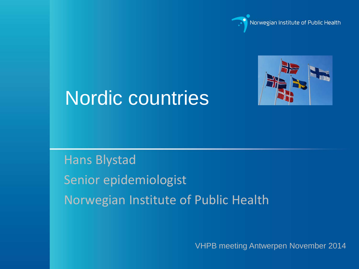



# Nordic countries

# Hans Blystad Senior epidemiologist Norwegian Institute of Public Health

VHPB meeting Antwerpen November 2014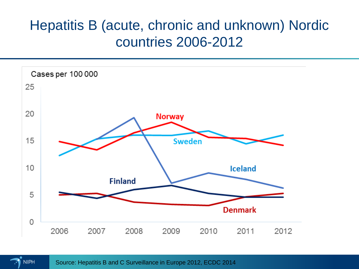## Hepatitis B (acute, chronic and unknown) Nordic countries 2006-2012



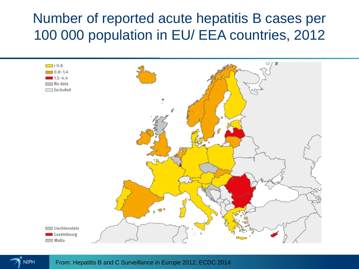#### Number of reported acute hepatitis B cases per 100 000 population in EU/ EEA countries, 2012



**NIPH** 

From: Hepatitis B and C Surveillance in Europe 2012, ECDC 2014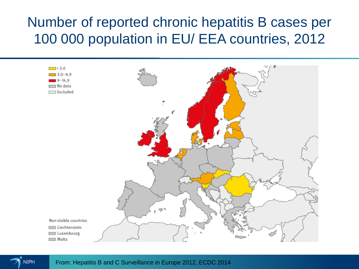#### Number of reported chronic hepatitis B cases per 100 000 population in EU/ EEA countries, 2012



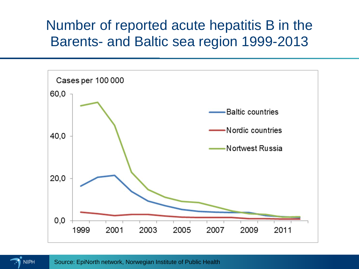#### Number of reported acute hepatitis B in the Barents- and Baltic sea region 1999-2013



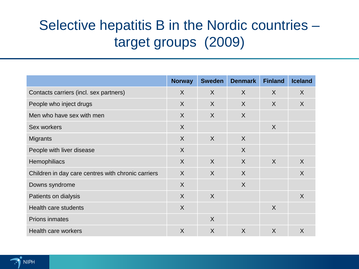# Selective hepatitis B in the Nordic countries – target groups (2009)

|                                                    | <b>Norway</b> | <b>Sweden</b>  | <b>Denmark</b> | <b>Finland</b> | <b>Iceland</b> |
|----------------------------------------------------|---------------|----------------|----------------|----------------|----------------|
| Contacts carriers (incl. sex partners)             | $\sf X$       | $\sf X$        | $\sf X$        | $\sf X$        | X              |
| People who inject drugs                            | $\sf X$       | $\sf X$        | $\sf X$        | $\sf X$        | $\sf X$        |
| Men who have sex with men                          | $\sf X$       | $\sf X$        | X              |                |                |
| Sex workers                                        | $\sf X$       |                |                | $\sf X$        |                |
| <b>Migrants</b>                                    | $\sf X$       | $\sf X$        | $\sf X$        |                |                |
| People with liver disease                          | $\sf X$       |                | $\sf X$        |                |                |
| Hemophiliacs                                       | $\sf X$       | $\sf X$        | $\sf X$        | $\sf X$        | $\sf X$        |
| Children in day care centres with chronic carriers | $\sf X$       | $\sf X$        | $\sf X$        |                | $\sf X$        |
| Downs syndrome                                     | $\sf X$       |                | $\sf X$        |                |                |
| Patients on dialysis                               | $\sf X$       | $\sf X$        |                |                | $\sf X$        |
| <b>Health care students</b>                        | $\sf X$       |                |                | $\sf X$        |                |
| <b>Prions inmates</b>                              |               | X              |                |                |                |
| Health care workers                                | $\sf X$       | $\overline{X}$ | $\sf X$        | $\sf X$        | X              |

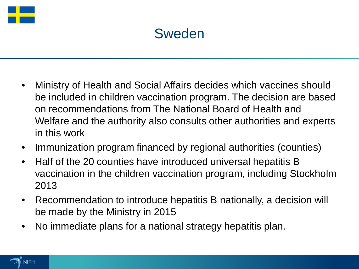

#### Sweden

- Ministry of Health and Social Affairs decides which vaccines should be included in children vaccination program. The decision are based on recommendations from The National Board of Health and Welfare and the authority also consults other authorities and experts in this work
- Immunization program financed by regional authorities (counties)
- Half of the 20 counties have introduced universal hepatitis B vaccination in the children vaccination program, including Stockholm 2013
- Recommendation to introduce hepatitis B nationally, a decision will be made by the Ministry in 2015
- No immediate plans for a national strategy hepatitis plan.

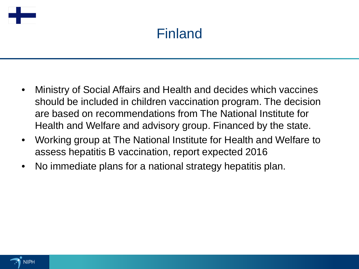

# Finland

- Ministry of Social Affairs and Health and decides which vaccines should be included in children vaccination program. The decision are based on recommendations from The National Institute for Health and Welfare and advisory group. Financed by the state.
- Working group at The National Institute for Health and Welfare to assess hepatitis B vaccination, report expected 2016
- No immediate plans for a national strategy hepatitis plan.

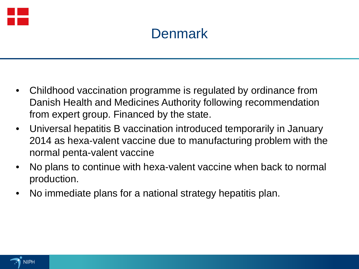

# **Denmark**

- Childhood vaccination programme is regulated by ordinance from Danish Health and Medicines Authority following recommendation from expert group. Financed by the state.
- Universal hepatitis B vaccination introduced temporarily in January 2014 as hexa-valent vaccine due to manufacturing problem with the normal penta-valent vaccine
- No plans to continue with hexa-valent vaccine when back to normal production.
- No immediate plans for a national strategy hepatitis plan.

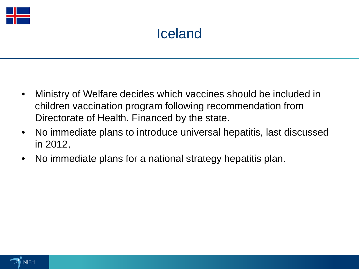

# Iceland

- Ministry of Welfare decides which vaccines should be included in children vaccination program following recommendation from Directorate of Health. Financed by the state.
- No immediate plans to introduce universal hepatitis, last discussed in 2012,
- No immediate plans for a national strategy hepatitis plan.

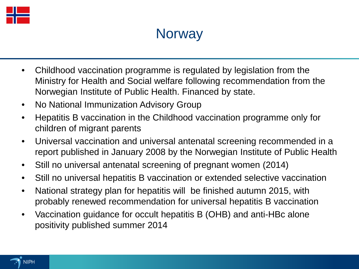

#### **Norway**

- Childhood vaccination programme is regulated by legislation from the Ministry for Health and Social welfare following recommendation from the Norwegian Institute of Public Health. Financed by state.
- No National Immunization Advisory Group
- Hepatitis B vaccination in the Childhood vaccination programme only for children of migrant parents
- Universal vaccination and universal antenatal screening recommended in a report published in January 2008 by the Norwegian Institute of Public Health
- Still no universal antenatal screening of pregnant women (2014)
- Still no universal hepatitis B vaccination or extended selective vaccination
- National strategy plan for hepatitis will be finished autumn 2015, with probably renewed recommendation for universal hepatitis B vaccination
- Vaccination guidance for occult hepatitis B (OHB) and anti-HBc alone positivity published summer 2014